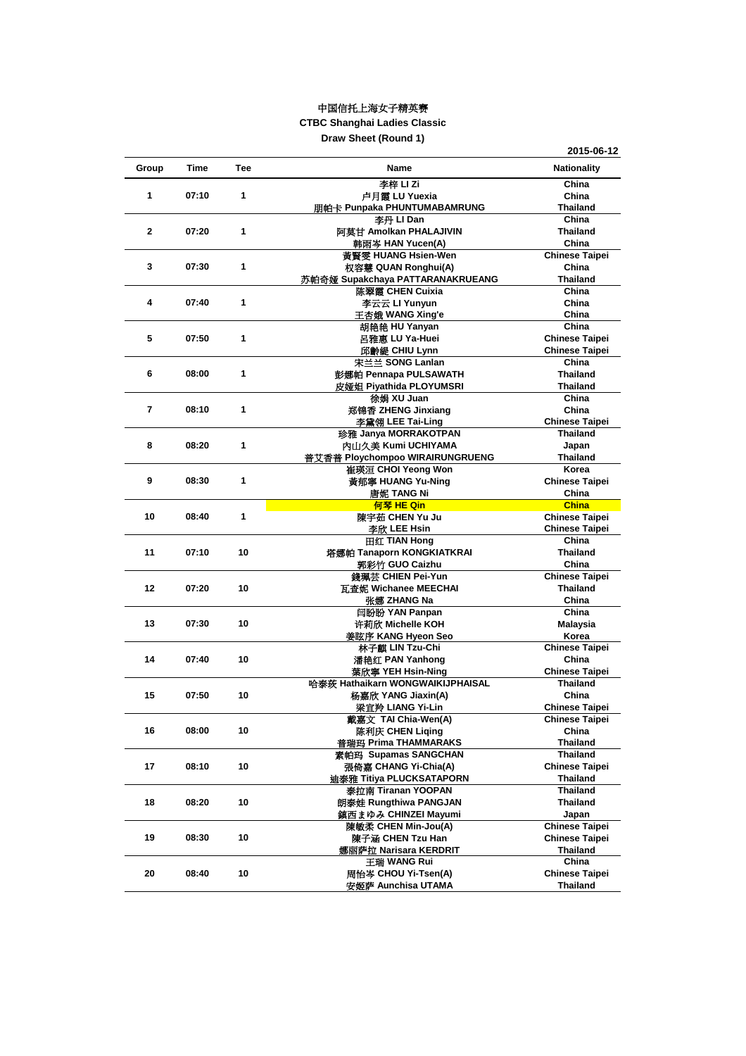| Group        | <b>Time</b> | <b>Tee</b> | <b>Name</b>                      | <b>Nationality</b>       |
|--------------|-------------|------------|----------------------------------|--------------------------|
|              |             |            | 李梓 LI Zi                         | China                    |
| 1            | 07:10       | 1          | 卢月霞 LU Yuexia                    | China                    |
|              |             |            | 朋帕卡 Punpaka PHUNTUMABAMRUNG      | <b>Thailand</b>          |
|              |             |            | 李丹 LI Dan                        | China                    |
| $\mathbf 2$  | 07:20       | 1          | 阿莫甘 Amolkan PHALAJIVIN           | <b>Thailand</b>          |
|              |             |            | 韩雨岑 HAN Yucen(A)                 | China                    |
|              |             |            | 黃賢雯 HUANG Hsien-Wen              | <b>Chinese Taipei</b>    |
| $\mathbf{3}$ | 07:30       | 1          | 权容慧 QUAN Ronghui(A)              | China                    |
|              |             |            | 苏帕奇娅 Supakchaya PATTARANAKRUEANG | <b>Thailand</b>          |
|              |             |            | 陈翠霞 CHEN Cuixia                  | China                    |
| 4            | 07:40       | 1          | 李云云 LI Yunyun                    | China                    |
|              |             |            | 王杏娥 WANG Xing'e                  | China                    |
|              |             |            | 胡艳艳 HU Yanyan                    | China                    |
| 5            | 07:50       | 1          | 呂雅惠 LU Ya-Huei                   | <b>Chinese Taipei</b>    |
|              |             |            | 邱齡緹 CHIU Lynn                    | <b>Chinese Taipei</b>    |
|              |             |            | 宋兰兰 SONG Lanlan                  | China                    |
| 6            | 08:00       | 1          | 彭娜帕 Pennapa PULSAWATH            | <b>Thailand</b>          |
|              |             |            | 皮娅姐 Piyathida PLOYUMSRI          | <b>Thailand</b>          |
|              |             |            | 徐娟 XU Juan                       | China                    |
| 7            | 08:10       | 1          | 郑锦香 ZHENG Jinxiang               | China                    |
|              |             |            | 李黛翎 LEE Tai-Ling                 | <b>Chinese Taipei</b>    |
|              |             |            | 珍雅 Janya MORRAKOTPAN             | <b>Thailand</b>          |
| 8            | 08:20       | 1          | 内山久美 Kumi UCHIYAMA               |                          |
|              |             |            |                                  | Japan<br><b>Thailand</b> |
|              |             |            | 普艾香普 Ploychompoo WIRAIRUNGRUENG  | Korea                    |
|              |             |            | 崔瑛洹 CHOI Yeong Won               |                          |
| 9            | 08:30       | 1          | 黃郁寧 HUANG Yu-Ning                | <b>Chinese Taipei</b>    |
|              |             |            | 唐妮 TANG Ni                       | China                    |
|              |             |            | 何琴 HE Qin                        | <b>China</b>             |
| 10           | 08:40       | 1          | 陳宇茹 CHEN Yu Ju                   | <b>Chinese Taipei</b>    |
|              |             |            | 李欣 LEE Hsin                      | <b>Chinese Taipei</b>    |
|              |             |            | 田红 TIAN Hong                     | China                    |
| 11           | 07:10       | 10         | 塔娜帕 Tanaporn KONGKIATKRAI        | <b>Thailand</b>          |
|              |             |            | 郭彩竹 GUO Caizhu                   | China                    |
|              |             |            | 錢珮芸 CHIEN Pei-Yun                | <b>Chinese Taipei</b>    |
| 12           | 07:20       | 10         | 瓦查妮 Wichanee MEECHAI             | <b>Thailand</b>          |
|              |             |            | 张娜 ZHANG Na                      | China                    |
|              |             |            | 闫盼盼 YAN Panpan                   | China                    |
| 13           | 07:30       | 10         | 许莉欣 Michelle KOH                 | <b>Malaysia</b>          |
|              |             |            | 姜眩序 KANG Hyeon Seo               | Korea                    |
|              |             |            | 林子麒 LIN Tzu-Chi                  | <b>Chinese Taipei</b>    |
| 14           | 07:40       | 10         | 潘艳红 PAN Yanhong                  | China                    |
|              |             |            | 葉欣寧 YEH Hsin-Ning                | <b>Chinese Taipei</b>    |
|              |             |            | 哈泰茨 Hathaikarn WONGWAIKIJPHAISAL | <b>Thailand</b>          |
| 15           | 07:50       | 10         | 杨嘉欣 YANG Jiaxin(A)               | China                    |
|              |             |            | 梁宜羚 LIANG Yi-Lin                 | <b>Chinese Taipei</b>    |
|              |             |            | 戴嘉文 TAI Chia-Wen(A)              | <b>Chinese Taipei</b>    |
| 16           | 08:00       | 10         | 陈利庆 CHEN Liqing                  | China                    |
|              |             |            | 普瑞玛 Prima THAMMARAKS             | <b>Thailand</b>          |
|              |             |            | 素帕玛 Supamas SANGCHAN             | <b>Thailand</b>          |
| 17           | 08:10       | 10         | 張倚嘉 CHANG Yi-Chia(A)             | <b>Chinese Taipei</b>    |
|              |             |            | 迪泰雅 Titiya PLUCKSATAPORN         | <b>Thailand</b>          |
|              |             |            | 泰拉南 Tiranan YOOPAN               | <b>Thailand</b>          |
| 18           | 08:20       | 10         | 朗泰娃 Rungthiwa PANGJAN            | <b>Thailand</b>          |
|              |             |            | 鎮西まゆみ CHINZEI Mayumi             | Japan                    |
|              |             |            | 陳敏柔 CHEN Min-Jou(A)              | <b>Chinese Taipei</b>    |
| 19           | 08:30       | 10         | 陳子涵 CHEN Tzu Han                 | <b>Chinese Taipei</b>    |
|              |             |            | 娜丽萨拉 Narisara KERDRIT            | <b>Thailand</b>          |
|              |             |            | 王瑞 WANG Rui                      | China                    |
| 20           | 08:40       | 10         | 周怡岑 CHOU Yi-Tsen(A)              | <b>Chinese Taipei</b>    |
|              |             |            | 安姬萨 Aunchisa UTAMA               | <b>Thailand</b>          |

## 中国信托上海女子精英赛

**CTBC Shanghai Ladies Classic**

**Draw Sheet (Round 1)**

**2015-06-12**